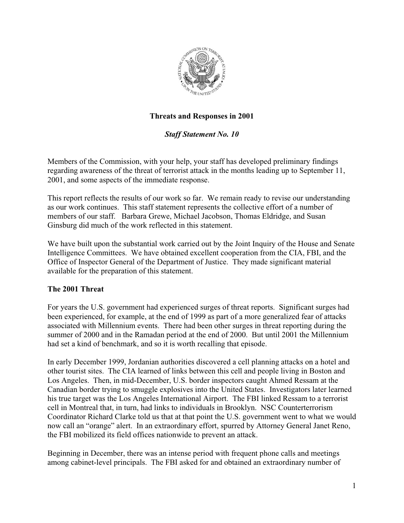

## **Threats and Responses in 2001**

## *Staff Statement No. 10*

Members of the Commission, with your help, your staff has developed preliminary findings regarding awareness of the threat of terrorist attack in the months leading up to September 11, 2001, and some aspects of the immediate response.

This report reflects the results of our work so far. We remain ready to revise our understanding as our work continues. This staff statement represents the collective effort of a number of members of our staff. Barbara Grewe, Michael Jacobson, Thomas Eldridge, and Susan Ginsburg did much of the work reflected in this statement.

We have built upon the substantial work carried out by the Joint Inquiry of the House and Senate Intelligence Committees. We have obtained excellent cooperation from the CIA, FBI, and the Office of Inspector General of the Department of Justice. They made significant material available for the preparation of this statement.

## **The 2001 Threat**

For years the U.S. government had experienced surges of threat reports. Significant surges had been experienced, for example, at the end of 1999 as part of a more generalized fear of attacks associated with Millennium events. There had been other surges in threat reporting during the summer of 2000 and in the Ramadan period at the end of 2000. But until 2001 the Millennium had set a kind of benchmark, and so it is worth recalling that episode.

In early December 1999, Jordanian authorities discovered a cell planning attacks on a hotel and other tourist sites. The CIA learned of links between this cell and people living in Boston and Los Angeles. Then, in mid-December, U.S. border inspectors caught Ahmed Ressam at the Canadian border trying to smuggle explosives into the United States. Investigators later learned his true target was the Los Angeles International Airport. The FBI linked Ressam to a terrorist cell in Montreal that, in turn, had links to individuals in Brooklyn. NSC Counterterrorism Coordinator Richard Clarke told us that at that point the U.S. government went to what we would now call an "orange" alert. In an extraordinary effort, spurred by Attorney General Janet Reno, the FBI mobilized its field offices nationwide to prevent an attack.

Beginning in December, there was an intense period with frequent phone calls and meetings among cabinet-level principals. The FBI asked for and obtained an extraordinary number of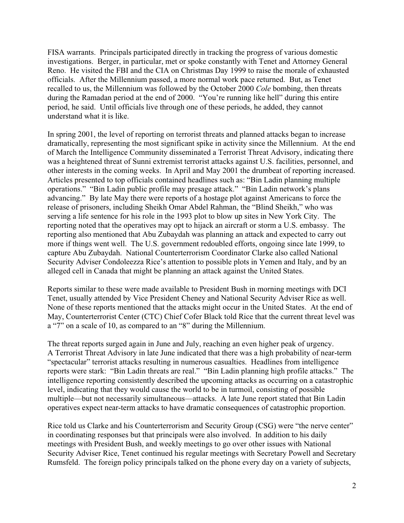FISA warrants. Principals participated directly in tracking the progress of various domestic investigations. Berger, in particular, met or spoke constantly with Tenet and Attorney General Reno. He visited the FBI and the CIA on Christmas Day 1999 to raise the morale of exhausted officials. After the Millennium passed, a more normal work pace returned. But, as Tenet recalled to us, the Millennium was followed by the October 2000 *Cole* bombing, then threats during the Ramadan period at the end of 2000. "You're running like hell" during this entire period, he said. Until officials live through one of these periods, he added, they cannot understand what it is like.

In spring 2001, the level of reporting on terrorist threats and planned attacks began to increase dramatically, representing the most significant spike in activity since the Millennium. At the end of March the Intelligence Community disseminated a Terrorist Threat Advisory, indicating there was a heightened threat of Sunni extremist terrorist attacks against U.S. facilities, personnel, and other interests in the coming weeks. In April and May 2001 the drumbeat of reporting increased. Articles presented to top officials contained headlines such as: "Bin Ladin planning multiple operations." "Bin Ladin public profile may presage attack." "Bin Ladin network's plans advancing." By late May there were reports of a hostage plot against Americans to force the release of prisoners, including Sheikh Omar Abdel Rahman, the "Blind Sheikh," who was serving a life sentence for his role in the 1993 plot to blow up sites in New York City. The reporting noted that the operatives may opt to hijack an aircraft or storm a U.S. embassy. The reporting also mentioned that Abu Zubaydah was planning an attack and expected to carry out more if things went well. The U.S. government redoubled efforts, ongoing since late 1999, to capture Abu Zubaydah. National Counterterrorism Coordinator Clarke also called National Security Adviser Condoleezza Rice's attention to possible plots in Yemen and Italy, and by an alleged cell in Canada that might be planning an attack against the United States.

Reports similar to these were made available to President Bush in morning meetings with DCI Tenet, usually attended by Vice President Cheney and National Security Adviser Rice as well. None of these reports mentioned that the attacks might occur in the United States. At the end of May, Counterterrorist Center (CTC) Chief Cofer Black told Rice that the current threat level was a "7" on a scale of 10, as compared to an "8" during the Millennium.

The threat reports surged again in June and July, reaching an even higher peak of urgency. A Terrorist Threat Advisory in late June indicated that there was a high probability of near-term "spectacular" terrorist attacks resulting in numerous casualties. Headlines from intelligence reports were stark: "Bin Ladin threats are real." "Bin Ladin planning high profile attacks." The intelligence reporting consistently described the upcoming attacks as occurring on a catastrophic level, indicating that they would cause the world to be in turmoil, consisting of possible multiple—but not necessarily simultaneous—attacks. A late June report stated that Bin Ladin operatives expect near-term attacks to have dramatic consequences of catastrophic proportion.

Rice told us Clarke and his Counterterrorism and Security Group (CSG) were "the nerve center" in coordinating responses but that principals were also involved. In addition to his daily meetings with President Bush, and weekly meetings to go over other issues with National Security Adviser Rice, Tenet continued his regular meetings with Secretary Powell and Secretary Rumsfeld. The foreign policy principals talked on the phone every day on a variety of subjects,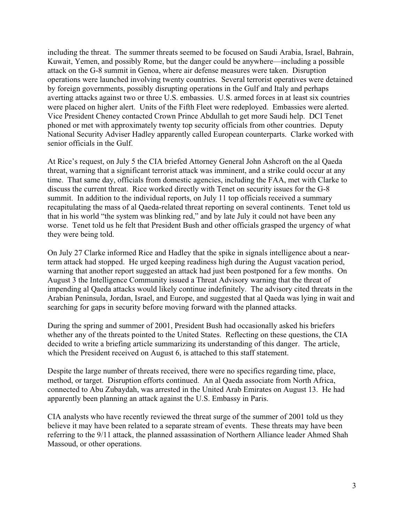including the threat. The summer threats seemed to be focused on Saudi Arabia, Israel, Bahrain, Kuwait, Yemen, and possibly Rome, but the danger could be anywhere—including a possible attack on the G-8 summit in Genoa, where air defense measures were taken. Disruption operations were launched involving twenty countries. Several terrorist operatives were detained by foreign governments, possibly disrupting operations in the Gulf and Italy and perhaps averting attacks against two or three U.S. embassies. U.S. armed forces in at least six countries were placed on higher alert. Units of the Fifth Fleet were redeployed. Embassies were alerted. Vice President Cheney contacted Crown Prince Abdullah to get more Saudi help. DCI Tenet phoned or met with approximately twenty top security officials from other countries. Deputy National Security Adviser Hadley apparently called European counterparts. Clarke worked with senior officials in the Gulf.

At Rice's request, on July 5 the CIA briefed Attorney General John Ashcroft on the al Qaeda threat, warning that a significant terrorist attack was imminent, and a strike could occur at any time. That same day, officials from domestic agencies, including the FAA, met with Clarke to discuss the current threat. Rice worked directly with Tenet on security issues for the G-8 summit. In addition to the individual reports, on July 11 top officials received a summary recapitulating the mass of al Qaeda-related threat reporting on several continents. Tenet told us that in his world "the system was blinking red," and by late July it could not have been any worse. Tenet told us he felt that President Bush and other officials grasped the urgency of what they were being told.

On July 27 Clarke informed Rice and Hadley that the spike in signals intelligence about a nearterm attack had stopped. He urged keeping readiness high during the August vacation period, warning that another report suggested an attack had just been postponed for a few months. On August 3 the Intelligence Community issued a Threat Advisory warning that the threat of impending al Qaeda attacks would likely continue indefinitely. The advisory cited threats in the Arabian Peninsula, Jordan, Israel, and Europe, and suggested that al Qaeda was lying in wait and searching for gaps in security before moving forward with the planned attacks.

During the spring and summer of 2001, President Bush had occasionally asked his briefers whether any of the threats pointed to the United States. Reflecting on these questions, the CIA decided to write a briefing article summarizing its understanding of this danger. The article, which the President received on August 6, is attached to this staff statement.

Despite the large number of threats received, there were no specifics regarding time, place, method, or target. Disruption efforts continued. An al Qaeda associate from North Africa, connected to Abu Zubaydah, was arrested in the United Arab Emirates on August 13. He had apparently been planning an attack against the U.S. Embassy in Paris.

CIA analysts who have recently reviewed the threat surge of the summer of 2001 told us they believe it may have been related to a separate stream of events. These threats may have been referring to the 9/11 attack, the planned assassination of Northern Alliance leader Ahmed Shah Massoud, or other operations.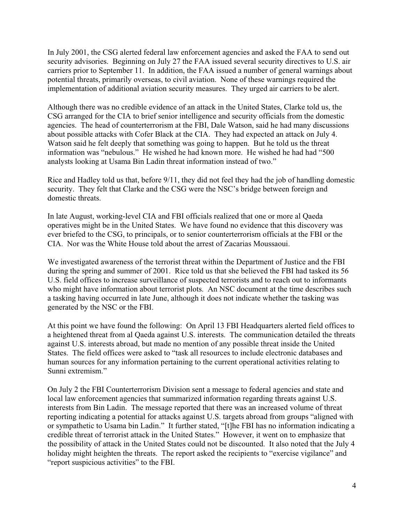In July 2001, the CSG alerted federal law enforcement agencies and asked the FAA to send out security advisories. Beginning on July 27 the FAA issued several security directives to U.S. air carriers prior to September 11. In addition, the FAA issued a number of general warnings about potential threats, primarily overseas, to civil aviation. None of these warnings required the implementation of additional aviation security measures. They urged air carriers to be alert.

Although there was no credible evidence of an attack in the United States, Clarke told us, the CSG arranged for the CIA to brief senior intelligence and security officials from the domestic agencies. The head of counterterrorism at the FBI, Dale Watson, said he had many discussions about possible attacks with Cofer Black at the CIA. They had expected an attack on July 4. Watson said he felt deeply that something was going to happen. But he told us the threat information was "nebulous." He wished he had known more. He wished he had had "500 analysts looking at Usama Bin Ladin threat information instead of two."

Rice and Hadley told us that, before 9/11, they did not feel they had the job of handling domestic security. They felt that Clarke and the CSG were the NSC's bridge between foreign and domestic threats.

In late August, working-level CIA and FBI officials realized that one or more al Qaeda operatives might be in the United States. We have found no evidence that this discovery was ever briefed to the CSG, to principals, or to senior counterterrorism officials at the FBI or the CIA. Nor was the White House told about the arrest of Zacarias Moussaoui.

We investigated awareness of the terrorist threat within the Department of Justice and the FBI during the spring and summer of 2001. Rice told us that she believed the FBI had tasked its 56 U.S. field offices to increase surveillance of suspected terrorists and to reach out to informants who might have information about terrorist plots. An NSC document at the time describes such a tasking having occurred in late June, although it does not indicate whether the tasking was generated by the NSC or the FBI.

At this point we have found the following: On April 13 FBI Headquarters alerted field offices to a heightened threat from al Qaeda against U.S. interests. The communication detailed the threats against U.S. interests abroad, but made no mention of any possible threat inside the United States. The field offices were asked to "task all resources to include electronic databases and human sources for any information pertaining to the current operational activities relating to Sunni extremism."

On July 2 the FBI Counterterrorism Division sent a message to federal agencies and state and local law enforcement agencies that summarized information regarding threats against U.S. interests from Bin Ladin. The message reported that there was an increased volume of threat reporting indicating a potential for attacks against U.S. targets abroad from groups "aligned with or sympathetic to Usama bin Ladin." It further stated, "[t]he FBI has no information indicating a credible threat of terrorist attack in the United States." However, it went on to emphasize that the possibility of attack in the United States could not be discounted. It also noted that the July 4 holiday might heighten the threats. The report asked the recipients to "exercise vigilance" and "report suspicious activities" to the FBI.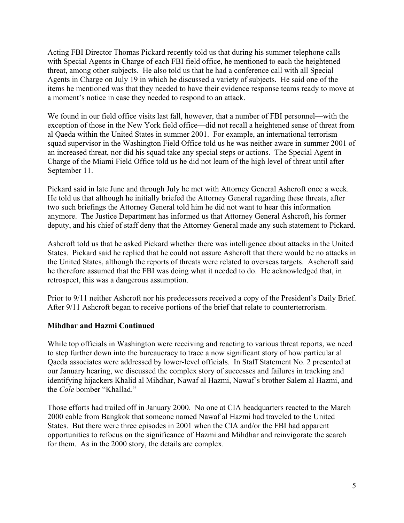Acting FBI Director Thomas Pickard recently told us that during his summer telephone calls with Special Agents in Charge of each FBI field office, he mentioned to each the heightened threat, among other subjects. He also told us that he had a conference call with all Special Agents in Charge on July 19 in which he discussed a variety of subjects. He said one of the items he mentioned was that they needed to have their evidence response teams ready to move at a moment's notice in case they needed to respond to an attack.

We found in our field office visits last fall, however, that a number of FBI personnel—with the exception of those in the New York field office—did not recall a heightened sense of threat from al Qaeda within the United States in summer 2001. For example, an international terrorism squad supervisor in the Washington Field Office told us he was neither aware in summer 2001 of an increased threat, nor did his squad take any special steps or actions. The Special Agent in Charge of the Miami Field Office told us he did not learn of the high level of threat until after September 11.

Pickard said in late June and through July he met with Attorney General Ashcroft once a week. He told us that although he initially briefed the Attorney General regarding these threats, after two such briefings the Attorney General told him he did not want to hear this information anymore. The Justice Department has informed us that Attorney General Ashcroft, his former deputy, and his chief of staff deny that the Attorney General made any such statement to Pickard.

Ashcroft told us that he asked Pickard whether there was intelligence about attacks in the United States. Pickard said he replied that he could not assure Ashcroft that there would be no attacks in the United States, although the reports of threats were related to overseas targets. Aschcroft said he therefore assumed that the FBI was doing what it needed to do. He acknowledged that, in retrospect, this was a dangerous assumption.

Prior to 9/11 neither Ashcroft nor his predecessors received a copy of the President's Daily Brief. After 9/11 Ashcroft began to receive portions of the brief that relate to counterterrorism.

## **Mihdhar and Hazmi Continued**

While top officials in Washington were receiving and reacting to various threat reports, we need to step further down into the bureaucracy to trace a now significant story of how particular al Qaeda associates were addressed by lower-level officials. In Staff Statement No. 2 presented at our January hearing, we discussed the complex story of successes and failures in tracking and identifying hijackers Khalid al Mihdhar, Nawaf al Hazmi, Nawaf's brother Salem al Hazmi, and the *Cole* bomber "Khallad."

Those efforts had trailed off in January 2000. No one at CIA headquarters reacted to the March 2000 cable from Bangkok that someone named Nawaf al Hazmi had traveled to the United States. But there were three episodes in 2001 when the CIA and/or the FBI had apparent opportunities to refocus on the significance of Hazmi and Mihdhar and reinvigorate the search for them. As in the 2000 story, the details are complex.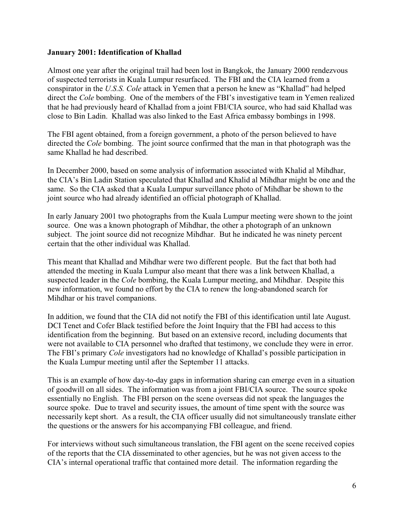#### **January 2001: Identification of Khallad**

Almost one year after the original trail had been lost in Bangkok, the January 2000 rendezvous of suspected terrorists in Kuala Lumpur resurfaced. The FBI and the CIA learned from a conspirator in the *U.S.S. Cole* attack in Yemen that a person he knew as "Khallad" had helped direct the *Cole* bombing. One of the members of the FBI's investigative team in Yemen realized that he had previously heard of Khallad from a joint FBI/CIA source, who had said Khallad was close to Bin Ladin. Khallad was also linked to the East Africa embassy bombings in 1998.

The FBI agent obtained, from a foreign government, a photo of the person believed to have directed the *Cole* bombing. The joint source confirmed that the man in that photograph was the same Khallad he had described.

In December 2000, based on some analysis of information associated with Khalid al Mihdhar, the CIA's Bin Ladin Station speculated that Khallad and Khalid al Mihdhar might be one and the same. So the CIA asked that a Kuala Lumpur surveillance photo of Mihdhar be shown to the joint source who had already identified an official photograph of Khallad.

In early January 2001 two photographs from the Kuala Lumpur meeting were shown to the joint source. One was a known photograph of Mihdhar, the other a photograph of an unknown subject. The joint source did not recognize Mihdhar. But he indicated he was ninety percent certain that the other individual was Khallad.

This meant that Khallad and Mihdhar were two different people. But the fact that both had attended the meeting in Kuala Lumpur also meant that there was a link between Khallad, a suspected leader in the *Cole* bombing, the Kuala Lumpur meeting, and Mihdhar. Despite this new information, we found no effort by the CIA to renew the long-abandoned search for Mihdhar or his travel companions.

In addition, we found that the CIA did not notify the FBI of this identification until late August. DCI Tenet and Cofer Black testified before the Joint Inquiry that the FBI had access to this identification from the beginning. But based on an extensive record, including documents that were not available to CIA personnel who drafted that testimony, we conclude they were in error. The FBI's primary *Cole* investigators had no knowledge of Khallad's possible participation in the Kuala Lumpur meeting until after the September 11 attacks.

This is an example of how day-to-day gaps in information sharing can emerge even in a situation of goodwill on all sides. The information was from a joint FBI/CIA source. The source spoke essentially no English. The FBI person on the scene overseas did not speak the languages the source spoke. Due to travel and security issues, the amount of time spent with the source was necessarily kept short. As a result, the CIA officer usually did not simultaneously translate either the questions or the answers for his accompanying FBI colleague, and friend.

For interviews without such simultaneous translation, the FBI agent on the scene received copies of the reports that the CIA disseminated to other agencies, but he was not given access to the CIA's internal operational traffic that contained more detail. The information regarding the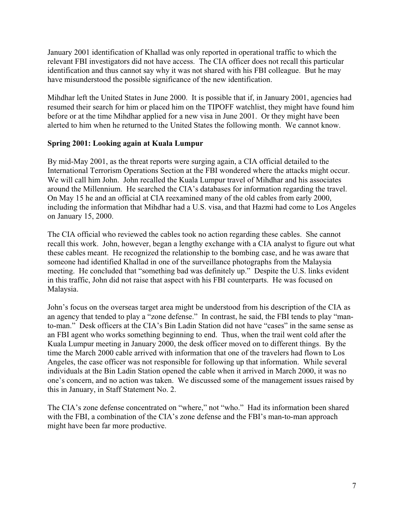January 2001 identification of Khallad was only reported in operational traffic to which the relevant FBI investigators did not have access. The CIA officer does not recall this particular identification and thus cannot say why it was not shared with his FBI colleague. But he may have misunderstood the possible significance of the new identification.

Mihdhar left the United States in June 2000. It is possible that if, in January 2001, agencies had resumed their search for him or placed him on the TIPOFF watchlist, they might have found him before or at the time Mihdhar applied for a new visa in June 2001. Or they might have been alerted to him when he returned to the United States the following month. We cannot know.

## **Spring 2001: Looking again at Kuala Lumpur**

By mid-May 2001, as the threat reports were surging again, a CIA official detailed to the International Terrorism Operations Section at the FBI wondered where the attacks might occur. We will call him John. John recalled the Kuala Lumpur travel of Mihdhar and his associates around the Millennium. He searched the CIA's databases for information regarding the travel. On May 15 he and an official at CIA reexamined many of the old cables from early 2000, including the information that Mihdhar had a U.S. visa, and that Hazmi had come to Los Angeles on January 15, 2000.

The CIA official who reviewed the cables took no action regarding these cables. She cannot recall this work. John, however, began a lengthy exchange with a CIA analyst to figure out what these cables meant. He recognized the relationship to the bombing case, and he was aware that someone had identified Khallad in one of the surveillance photographs from the Malaysia meeting. He concluded that "something bad was definitely up." Despite the U.S. links evident in this traffic, John did not raise that aspect with his FBI counterparts. He was focused on Malaysia.

John's focus on the overseas target area might be understood from his description of the CIA as an agency that tended to play a "zone defense." In contrast, he said, the FBI tends to play "manto-man." Desk officers at the CIA's Bin Ladin Station did not have "cases" in the same sense as an FBI agent who works something beginning to end. Thus, when the trail went cold after the Kuala Lumpur meeting in January 2000, the desk officer moved on to different things. By the time the March 2000 cable arrived with information that one of the travelers had flown to Los Angeles, the case officer was not responsible for following up that information. While several individuals at the Bin Ladin Station opened the cable when it arrived in March 2000, it was no one's concern, and no action was taken. We discussed some of the management issues raised by this in January, in Staff Statement No. 2.

The CIA's zone defense concentrated on "where," not "who." Had its information been shared with the FBI, a combination of the CIA's zone defense and the FBI's man-to-man approach might have been far more productive.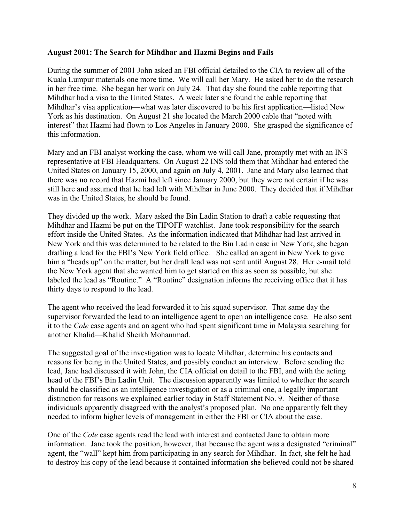#### **August 2001: The Search for Mihdhar and Hazmi Begins and Fails**

During the summer of 2001 John asked an FBI official detailed to the CIA to review all of the Kuala Lumpur materials one more time. We will call her Mary. He asked her to do the research in her free time. She began her work on July 24. That day she found the cable reporting that Mihdhar had a visa to the United States. A week later she found the cable reporting that Mihdhar's visa application—what was later discovered to be his first application—listed New York as his destination. On August 21 she located the March 2000 cable that "noted with interest" that Hazmi had flown to Los Angeles in January 2000. She grasped the significance of this information.

Mary and an FBI analyst working the case, whom we will call Jane, promptly met with an INS representative at FBI Headquarters. On August 22 INS told them that Mihdhar had entered the United States on January 15, 2000, and again on July 4, 2001. Jane and Mary also learned that there was no record that Hazmi had left since January 2000, but they were not certain if he was still here and assumed that he had left with Mihdhar in June 2000. They decided that if Mihdhar was in the United States, he should be found.

They divided up the work. Mary asked the Bin Ladin Station to draft a cable requesting that Mihdhar and Hazmi be put on the TIPOFF watchlist. Jane took responsibility for the search effort inside the United States. As the information indicated that Mihdhar had last arrived in New York and this was determined to be related to the Bin Ladin case in New York, she began drafting a lead for the FBI's New York field office. She called an agent in New York to give him a "heads up" on the matter, but her draft lead was not sent until August 28. Her e-mail told the New York agent that she wanted him to get started on this as soon as possible, but she labeled the lead as "Routine." A "Routine" designation informs the receiving office that it has thirty days to respond to the lead.

The agent who received the lead forwarded it to his squad supervisor. That same day the supervisor forwarded the lead to an intelligence agent to open an intelligence case. He also sent it to the *Cole* case agents and an agent who had spent significant time in Malaysia searching for another Khalid—Khalid Sheikh Mohammad.

The suggested goal of the investigation was to locate Mihdhar, determine his contacts and reasons for being in the United States, and possibly conduct an interview. Before sending the lead, Jane had discussed it with John, the CIA official on detail to the FBI, and with the acting head of the FBI's Bin Ladin Unit. The discussion apparently was limited to whether the search should be classified as an intelligence investigation or as a criminal one, a legally important distinction for reasons we explained earlier today in Staff Statement No. 9. Neither of those individuals apparently disagreed with the analyst's proposed plan. No one apparently felt they needed to inform higher levels of management in either the FBI or CIA about the case.

One of the *Cole* case agents read the lead with interest and contacted Jane to obtain more information. Jane took the position, however, that because the agent was a designated "criminal" agent, the "wall" kept him from participating in any search for Mihdhar. In fact, she felt he had to destroy his copy of the lead because it contained information she believed could not be shared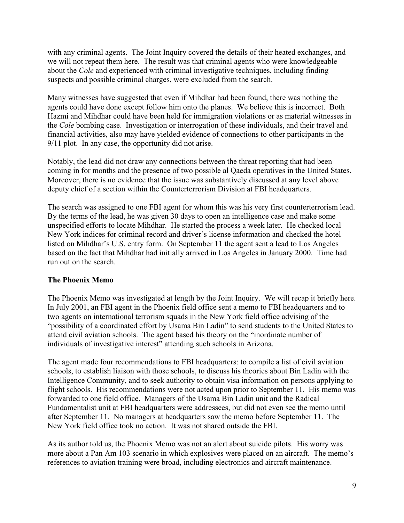with any criminal agents. The Joint Inquiry covered the details of their heated exchanges, and we will not repeat them here. The result was that criminal agents who were knowledgeable about the *Cole* and experienced with criminal investigative techniques, including finding suspects and possible criminal charges, were excluded from the search.

Many witnesses have suggested that even if Mihdhar had been found, there was nothing the agents could have done except follow him onto the planes. We believe this is incorrect. Both Hazmi and Mihdhar could have been held for immigration violations or as material witnesses in the *Cole* bombing case. Investigation or interrogation of these individuals, and their travel and financial activities, also may have yielded evidence of connections to other participants in the 9/11 plot. In any case, the opportunity did not arise.

Notably, the lead did not draw any connections between the threat reporting that had been coming in for months and the presence of two possible al Qaeda operatives in the United States. Moreover, there is no evidence that the issue was substantively discussed at any level above deputy chief of a section within the Counterterrorism Division at FBI headquarters.

The search was assigned to one FBI agent for whom this was his very first counterterrorism lead. By the terms of the lead, he was given 30 days to open an intelligence case and make some unspecified efforts to locate Mihdhar. He started the process a week later. He checked local New York indices for criminal record and driver's license information and checked the hotel listed on Mihdhar's U.S. entry form. On September 11 the agent sent a lead to Los Angeles based on the fact that Mihdhar had initially arrived in Los Angeles in January 2000. Time had run out on the search.

## **The Phoenix Memo**

The Phoenix Memo was investigated at length by the Joint Inquiry. We will recap it briefly here. In July 2001, an FBI agent in the Phoenix field office sent a memo to FBI headquarters and to two agents on international terrorism squads in the New York field office advising of the "possibility of a coordinated effort by Usama Bin Ladin" to send students to the United States to attend civil aviation schools. The agent based his theory on the "inordinate number of individuals of investigative interest" attending such schools in Arizona.

The agent made four recommendations to FBI headquarters: to compile a list of civil aviation schools, to establish liaison with those schools, to discuss his theories about Bin Ladin with the Intelligence Community, and to seek authority to obtain visa information on persons applying to flight schools. His recommendations were not acted upon prior to September 11. His memo was forwarded to one field office. Managers of the Usama Bin Ladin unit and the Radical Fundamentalist unit at FBI headquarters were addressees, but did not even see the memo until after September 11. No managers at headquarters saw the memo before September 11. The New York field office took no action. It was not shared outside the FBI.

As its author told us, the Phoenix Memo was not an alert about suicide pilots. His worry was more about a Pan Am 103 scenario in which explosives were placed on an aircraft. The memo's references to aviation training were broad, including electronics and aircraft maintenance.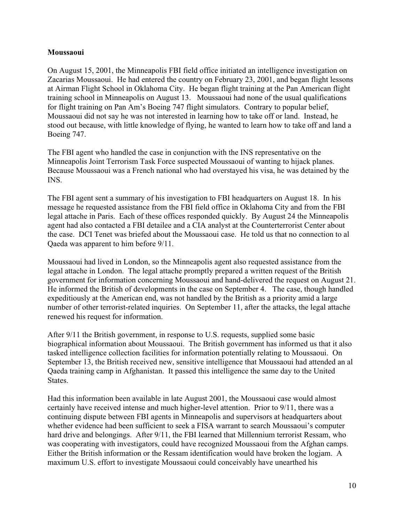### **Moussaoui**

On August 15, 2001, the Minneapolis FBI field office initiated an intelligence investigation on Zacarias Moussaoui. He had entered the country on February 23, 2001, and began flight lessons at Airman Flight School in Oklahoma City. He began flight training at the Pan American flight training school in Minneapolis on August 13. Moussaoui had none of the usual qualifications for flight training on Pan Am's Boeing 747 flight simulators. Contrary to popular belief, Moussaoui did not say he was not interested in learning how to take off or land. Instead, he stood out because, with little knowledge of flying, he wanted to learn how to take off and land a Boeing 747.

The FBI agent who handled the case in conjunction with the INS representative on the Minneapolis Joint Terrorism Task Force suspected Moussaoui of wanting to hijack planes. Because Moussaoui was a French national who had overstayed his visa, he was detained by the INS.

The FBI agent sent a summary of his investigation to FBI headquarters on August 18. In his message he requested assistance from the FBI field office in Oklahoma City and from the FBI legal attache in Paris. Each of these offices responded quickly. By August 24 the Minneapolis agent had also contacted a FBI detailee and a CIA analyst at the Counterterrorist Center about the case. DCI Tenet was briefed about the Moussaoui case. He told us that no connection to al Qaeda was apparent to him before 9/11.

Moussaoui had lived in London, so the Minneapolis agent also requested assistance from the legal attache in London. The legal attache promptly prepared a written request of the British government for information concerning Moussaoui and hand-delivered the request on August 21. He informed the British of developments in the case on September 4. The case, though handled expeditiously at the American end, was not handled by the British as a priority amid a large number of other terrorist-related inquiries. On September 11, after the attacks, the legal attache renewed his request for information.

After 9/11 the British government, in response to U.S. requests, supplied some basic biographical information about Moussaoui. The British government has informed us that it also tasked intelligence collection facilities for information potentially relating to Moussaoui. On September 13, the British received new, sensitive intelligence that Moussaoui had attended an al Qaeda training camp in Afghanistan. It passed this intelligence the same day to the United States.

Had this information been available in late August 2001, the Moussaoui case would almost certainly have received intense and much higher-level attention. Prior to 9/11, there was a continuing dispute between FBI agents in Minneapolis and supervisors at headquarters about whether evidence had been sufficient to seek a FISA warrant to search Moussaoui's computer hard drive and belongings. After 9/11, the FBI learned that Millennium terrorist Ressam, who was cooperating with investigators, could have recognized Moussaoui from the Afghan camps. Either the British information or the Ressam identification would have broken the logjam. A maximum U.S. effort to investigate Moussaoui could conceivably have unearthed his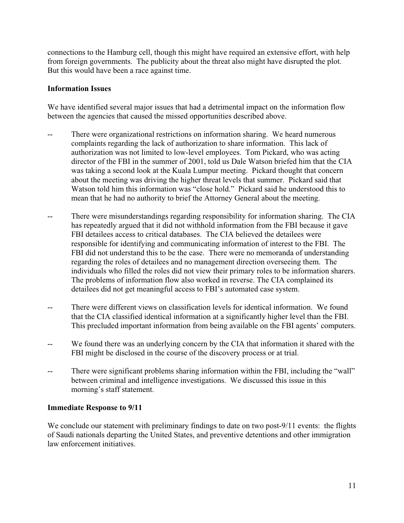connections to the Hamburg cell, though this might have required an extensive effort, with help from foreign governments. The publicity about the threat also might have disrupted the plot. But this would have been a race against time.

## **Information Issues**

We have identified several major issues that had a detrimental impact on the information flow between the agencies that caused the missed opportunities described above.

- There were organizational restrictions on information sharing. We heard numerous complaints regarding the lack of authorization to share information. This lack of authorization was not limited to low-level employees. Tom Pickard, who was acting director of the FBI in the summer of 2001, told us Dale Watson briefed him that the CIA was taking a second look at the Kuala Lumpur meeting. Pickard thought that concern about the meeting was driving the higher threat levels that summer. Pickard said that Watson told him this information was "close hold." Pickard said he understood this to mean that he had no authority to brief the Attorney General about the meeting.
- -- There were misunderstandings regarding responsibility for information sharing. The CIA has repeatedly argued that it did not withhold information from the FBI because it gave FBI detailees access to critical databases. The CIA believed the detailees were responsible for identifying and communicating information of interest to the FBI. The FBI did not understand this to be the case. There were no memoranda of understanding regarding the roles of detailees and no management direction overseeing them. The individuals who filled the roles did not view their primary roles to be information sharers. The problems of information flow also worked in reverse. The CIA complained its detailees did not get meaningful access to FBI's automated case system.
- -- There were different views on classification levels for identical information. We found that the CIA classified identical information at a significantly higher level than the FBI. This precluded important information from being available on the FBI agents' computers.
- We found there was an underlying concern by the CIA that information it shared with the FBI might be disclosed in the course of the discovery process or at trial.
- -- There were significant problems sharing information within the FBI, including the "wall" between criminal and intelligence investigations. We discussed this issue in this morning's staff statement.

#### **Immediate Response to 9/11**

We conclude our statement with preliminary findings to date on two post-9/11 events: the flights of Saudi nationals departing the United States, and preventive detentions and other immigration law enforcement initiatives.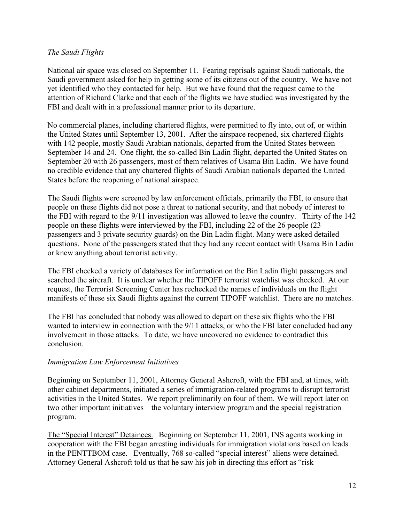## *The Saudi Flights*

National air space was closed on September 11. Fearing reprisals against Saudi nationals, the Saudi government asked for help in getting some of its citizens out of the country. We have not yet identified who they contacted for help. But we have found that the request came to the attention of Richard Clarke and that each of the flights we have studied was investigated by the FBI and dealt with in a professional manner prior to its departure.

No commercial planes, including chartered flights, were permitted to fly into, out of, or within the United States until September 13, 2001. After the airspace reopened, six chartered flights with 142 people, mostly Saudi Arabian nationals, departed from the United States between September 14 and 24. One flight, the so-called Bin Ladin flight, departed the United States on September 20 with 26 passengers, most of them relatives of Usama Bin Ladin. We have found no credible evidence that any chartered flights of Saudi Arabian nationals departed the United States before the reopening of national airspace.

The Saudi flights were screened by law enforcement officials, primarily the FBI, to ensure that people on these flights did not pose a threat to national security, and that nobody of interest to the FBI with regard to the 9/11 investigation was allowed to leave the country. Thirty of the 142 people on these flights were interviewed by the FBI, including 22 of the 26 people (23 passengers and 3 private security guards) on the Bin Ladin flight. Many were asked detailed questions. None of the passengers stated that they had any recent contact with Usama Bin Ladin or knew anything about terrorist activity.

The FBI checked a variety of databases for information on the Bin Ladin flight passengers and searched the aircraft. It is unclear whether the TIPOFF terrorist watchlist was checked. At our request, the Terrorist Screening Center has rechecked the names of individuals on the flight manifests of these six Saudi flights against the current TIPOFF watchlist. There are no matches.

The FBI has concluded that nobody was allowed to depart on these six flights who the FBI wanted to interview in connection with the 9/11 attacks, or who the FBI later concluded had any involvement in those attacks. To date, we have uncovered no evidence to contradict this conclusion.

## *Immigration Law Enforcement Initiatives*

Beginning on September 11, 2001, Attorney General Ashcroft, with the FBI and, at times, with other cabinet departments, initiated a series of immigration-related programs to disrupt terrorist activities in the United States. We report preliminarily on four of them. We will report later on two other important initiatives—the voluntary interview program and the special registration program.

The "Special Interest" Detainees. Beginning on September 11, 2001, INS agents working in cooperation with the FBI began arresting individuals for immigration violations based on leads in the PENTTBOM case. Eventually, 768 so-called "special interest" aliens were detained. Attorney General Ashcroft told us that he saw his job in directing this effort as "risk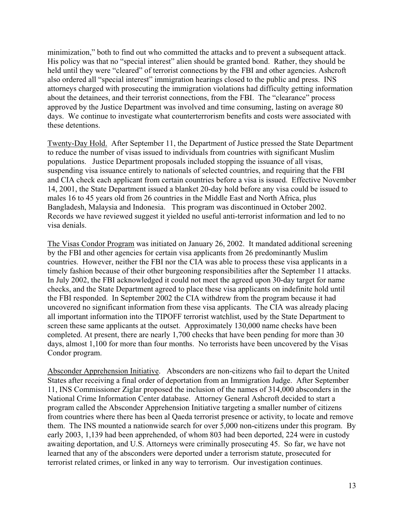minimization," both to find out who committed the attacks and to prevent a subsequent attack. His policy was that no "special interest" alien should be granted bond. Rather, they should be held until they were "cleared" of terrorist connections by the FBI and other agencies. Ashcroft also ordered all "special interest" immigration hearings closed to the public and press. INS attorneys charged with prosecuting the immigration violations had difficulty getting information about the detainees, and their terrorist connections, from the FBI. The "clearance" process approved by the Justice Department was involved and time consuming, lasting on average 80 days. We continue to investigate what counterterrorism benefits and costs were associated with these detentions.

Twenty-Day Hold. After September 11, the Department of Justice pressed the State Department to reduce the number of visas issued to individuals from countries with significant Muslim populations. Justice Department proposals included stopping the issuance of all visas, suspending visa issuance entirely to nationals of selected countries, and requiring that the FBI and CIA check each applicant from certain countries before a visa is issued. Effective November 14, 2001, the State Department issued a blanket 20-day hold before any visa could be issued to males 16 to 45 years old from 26 countries in the Middle East and North Africa, plus Bangladesh, Malaysia and Indonesia. This program was discontinued in October 2002. Records we have reviewed suggest it yielded no useful anti-terrorist information and led to no visa denials.

The Visas Condor Program was initiated on January 26, 2002. It mandated additional screening by the FBI and other agencies for certain visa applicants from 26 predominantly Muslim countries. However, neither the FBI nor the CIA was able to process these visa applicants in a timely fashion because of their other burgeoning responsibilities after the September 11 attacks. In July 2002, the FBI acknowledged it could not meet the agreed upon 30-day target for name checks, and the State Department agreed to place these visa applicants on indefinite hold until the FBI responded. In September 2002 the CIA withdrew from the program because it had uncovered no significant information from these visa applicants. The CIA was already placing all important information into the TIPOFF terrorist watchlist, used by the State Department to screen these same applicants at the outset. Approximately 130,000 name checks have been completed. At present, there are nearly 1,700 checks that have been pending for more than 30 days, almost 1,100 for more than four months. No terrorists have been uncovered by the Visas Condor program.

Absconder Apprehension Initiative. Absconders are non-citizens who fail to depart the United States after receiving a final order of deportation from an Immigration Judge. After September 11, INS Commissioner Ziglar proposed the inclusion of the names of 314,000 absconders in the National Crime Information Center database. Attorney General Ashcroft decided to start a program called the Absconder Apprehension Initiative targeting a smaller number of citizens from countries where there has been al Qaeda terrorist presence or activity, to locate and remove them. The INS mounted a nationwide search for over 5,000 non-citizens under this program. By early 2003, 1,139 had been apprehended, of whom 803 had been deported, 224 were in custody awaiting deportation, and U.S. Attorneys were criminally prosecuting 45. So far, we have not learned that any of the absconders were deported under a terrorism statute, prosecuted for terrorist related crimes, or linked in any way to terrorism. Our investigation continues.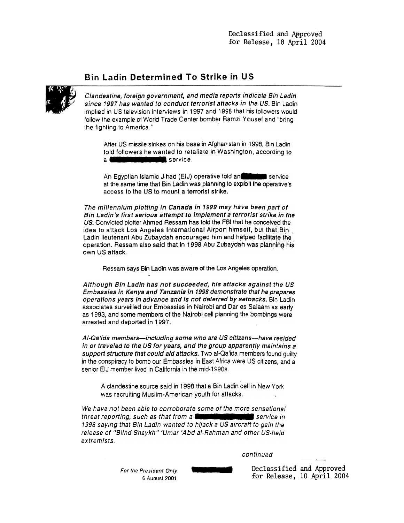# Bin Ladin Determined To Strike in US



Clandestine, foreign government, and media reports indicate Bin Ladin since 1997 has wanted to conduct terrorist attacks in the US. Bin Ladin implied in US television interviews in 1997 and 1998 that his followers would follow the example of World Trade Center bomber Ramzi Yousef and "bring the fighting to America."

After US missile strikes on his base in Afghanistan in 1998, Bin Ladin told followers he wanted to retaliate in Washington, according to  $a \bullet$ service.

An Egyptian Islamic Jihad (EIJ) operative told an at the same time that Bin Ladin was planning to exploit the operative's access to the US to mount a terrorist strike.

The millennium plotting in Canada in 1999 may have been part of Bin Ladin's first serious attempt to implement a terrorist strike in the US. Convicted plotter Ahmed Ressam has told the FBI that he conceived the idea to attack Los Angeles International Airport himself, but that Bin Ladin lieutenant Abu Zubaydah encouraged him and helped facilitate the operation. Ressam also said that in 1998 Abu Zubaydah was planning his own US attack.

Ressam says Bin Ladin was aware of the Los Angeles operation.

Although Bin Ladin has not succeeded, his attacks against the US Embassies in Kenya and Tanzania in 1998 demonstrate that he prepares operations years in advance and is not deterred by setbacks. Bin Ladin associates surveilled our Embassies in Nairobi and Dar es Salaam as early as 1993, and some members of the Nairobi cell planning the bombings were arrested and deported in 1997.

AI-Qa'ida members-including some who are US citizens-have resided in or traveled to the US for years, and the group apparently maintains a support structure that could aid attacks. Two al-Qa'ida members found quilty in the conspiracy to bomb our Embassies in East Africa were US citizens, and a senior EIJ member lived in California in the mid-1990s.

A clandestine source said in 1998 that a Bin Ladin cell in New York was recruiting Muslim-American youth for attacks.

We have not been able to corroborate some of the more sensational threat reporting, such as that from a **summary of the service** in 1998 saying that Bin Ladin wanted to hijack a US aircraft to gain the release of "Blind Shaykh" 'Umar 'Abd al-Rahman and other US-held extremists.

continued

For the President Only 6 August 2001

Declassified and Approved for Release, 10 April 2004